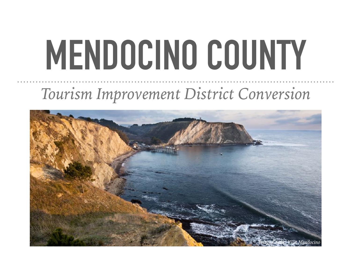# **MENDOCINO COUNTY**

#### *Tourism Improvement District Conversion*

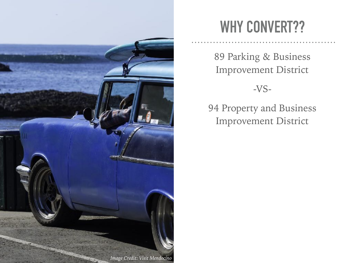

#### **WHY CONVERT??**

89 Parking & Business Improvement District

-VS-

94 Property and Business Improvement District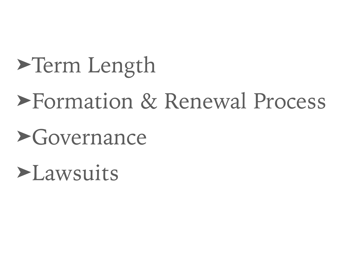## ➤Term Length

### ➤Formation & Renewal Process

➤Governance

➤Lawsuits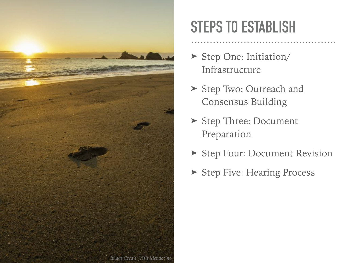

#### **STEPS TO ESTABLISH**

- ▶ Step One: Initiation/ Infrastructure
- ➤ Step Two: Outreach and Consensus Building
- ➤ Step Three: Document Preparation
- ➤ Step Four: Document Revision
- ➤ Step Five: Hearing Process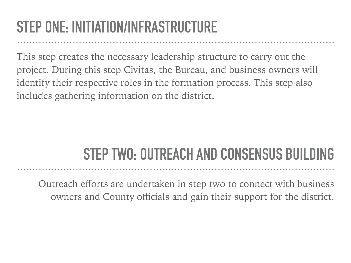#### **STEP ONE: INITIATION/INFRASTRUCTURE**

This step creates the necessary leadership structure to carry out the project. During this step Civitas, the Bureau, and business owners will identify their respective roles in the formation process. This step also includes gathering information on the district.

#### **STEP TWO: OUTREACH AND CONSENSUS BUILDING**

Outreach efforts are undertaken in step two to connect with business owners and County officials and gain their support for the district.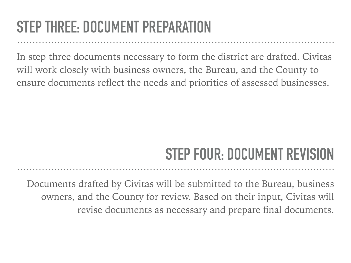#### **STEP THREE: DOCUMENT PREPARATION**

In step three documents necessary to form the district are drafted. Civitas will work closely with business owners, the Bureau, and the County to ensure documents reflect the needs and priorities of assessed businesses.

#### **STEP FOUR: DOCUMENT REVISION**

Documents drafted by Civitas will be submitted to the Bureau, business owners, and the County for review. Based on their input, Civitas will revise documents as necessary and prepare final documents.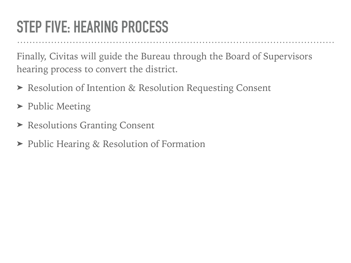#### **STEP FIVE: HEARING PROCESS**

Finally, Civitas will guide the Bureau through the Board of Supervisors hearing process to convert the district.

- ➤ Resolution of Intention & Resolution Requesting Consent
- ➤ Public Meeting
- ➤ Resolutions Granting Consent
- ➤ Public Hearing & Resolution of Formation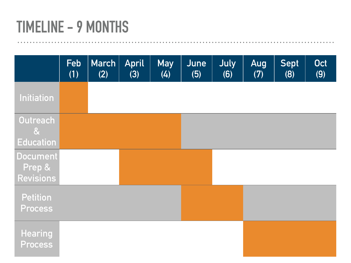#### **TIMELINE - 9 MONTHS**

|                                                       | Feb<br>(1) | March<br>(2) | <b>April</b><br>(3) | <b>May</b><br>(4) | June<br>(5) | July<br>(6) | Aug<br>(7) | <b>Sept</b><br>(8) | <b>Oct</b><br>(9) |
|-------------------------------------------------------|------------|--------------|---------------------|-------------------|-------------|-------------|------------|--------------------|-------------------|
| <b>Initiation</b>                                     |            |              |                     |                   |             |             |            |                    |                   |
| Outreach<br>$\boldsymbol{\alpha}$<br><b>Education</b> |            |              |                     |                   |             |             |            |                    |                   |
| <b>Document</b><br>Prep &<br><b>Revisions</b>         |            |              |                     |                   |             |             |            |                    |                   |
| <b>Petition</b><br>Process                            |            |              |                     |                   |             |             |            |                    |                   |
| Hearing<br><b>Process</b>                             |            |              |                     |                   |             |             |            |                    |                   |